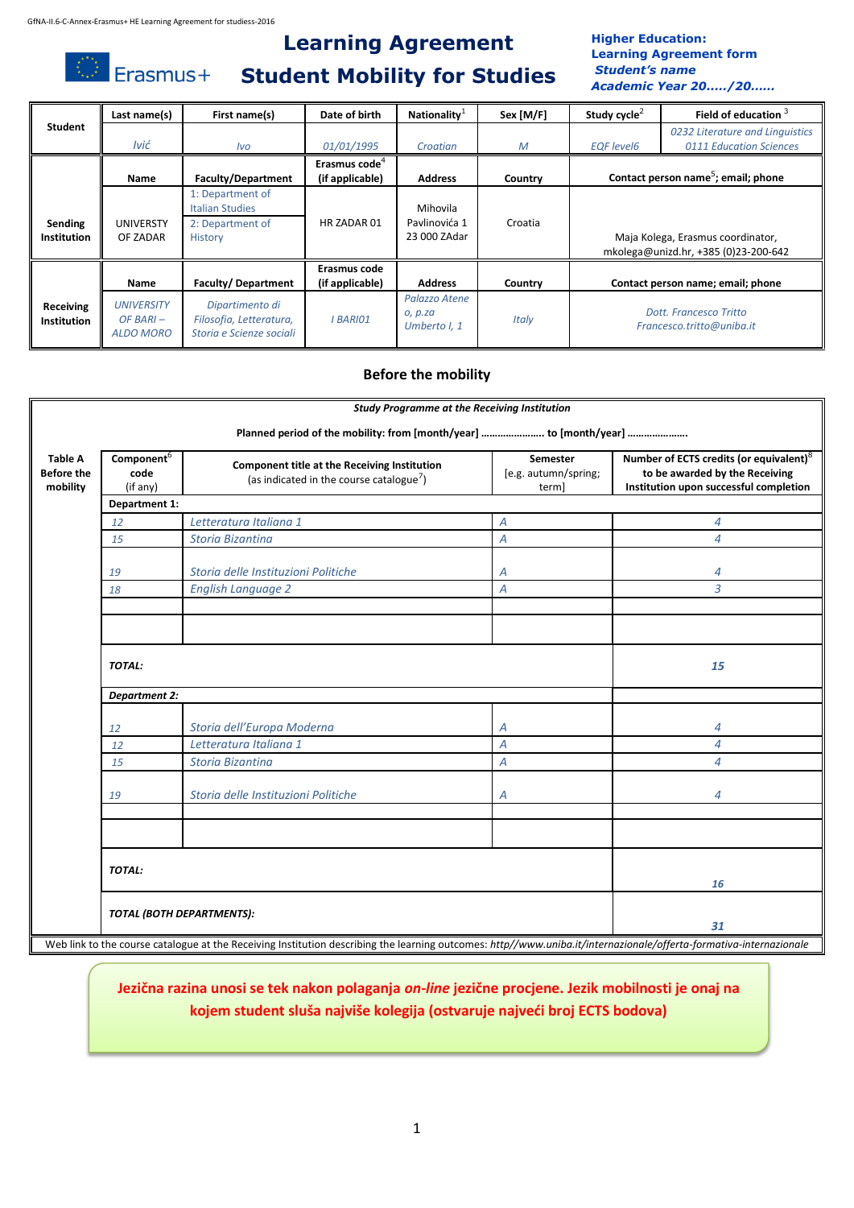$\bigcirc$  Erasmus+

# **Learning Agreement Student Mobility for Studies**

### **Higher Education: Learning Agreement form** *Student's name Academic Year 20..…/20……*

|                                 | Last name(s)                                         | First name(s)                                                             | Date of birth                                | <b>Nationality</b>                        | Sex [M/F]    | Study cycle <sup>2</sup> | Field of education 3                                                      |
|---------------------------------|------------------------------------------------------|---------------------------------------------------------------------------|----------------------------------------------|-------------------------------------------|--------------|--------------------------|---------------------------------------------------------------------------|
| Student                         | Ivić                                                 | <i>lvo</i>                                                                | 01/01/1995                                   | Croatian                                  | M            | <b>EQF</b> level6        | 0232 Literature and Linguistics<br>0111 Education Sciences                |
|                                 | Name                                                 | <b>Faculty/Department</b>                                                 | Erasmus code <sup>4</sup><br>(if applicable) | <b>Address</b>                            | Country      |                          | Contact person name <sup>5</sup> ; email; phone                           |
| Sending<br><b>Institution</b>   | UNIVERSTY<br>OF ZADAR                                | 1: Department of<br>Italian Studies<br>2: Department of<br><b>History</b> | HR ZADAR 01                                  | Mihovila<br>Pavlinovića 1<br>23 000 ZAdar | Croatia      |                          | Maja Kolega, Erasmus coordinator,<br>mkolega@unizd.hr, +385 (0)23-200-642 |
|                                 | Name                                                 | Faculty/Department                                                        | Erasmus code<br>(if applicable)              | <b>Address</b>                            | Country      |                          | Contact person name; email; phone                                         |
| Receiving<br><b>Institution</b> | <b>UNIVERSITY</b><br>$OF BARI -$<br><b>ALDO MORO</b> | Dipartimento di<br>Filosofia, Letteratura,<br>Storia e Scienze sociali    | <b>BARIO1</b>                                | Palazzo Atene<br>o, p.za<br>Umberto I, 1  | <b>Italy</b> |                          | Dott. Francesco Tritto<br>Francesco.tritto@uniba.it                       |

# **Before the mobility**

|                                                 | <b>Study Programme at the Receiving Institution</b> |                                                                                                                                                                            |                                                  |                                                                                                                                 |  |  |
|-------------------------------------------------|-----------------------------------------------------|----------------------------------------------------------------------------------------------------------------------------------------------------------------------------|--------------------------------------------------|---------------------------------------------------------------------------------------------------------------------------------|--|--|
| <b>Table A</b><br><b>Before the</b><br>mobility | Component <sup>6</sup><br>code<br>(if any)          | Planned period of the mobility: from [month/year]  to [month/year]<br>Component title at the Receiving Institution<br>(as indicated in the course catalogue <sup>7</sup> ) | <b>Semester</b><br>[e.g. autumn/spring;<br>term] | Number of ECTS credits (or equivalent) <sup>8</sup><br>to be awarded by the Receiving<br>Institution upon successful completion |  |  |
|                                                 | Department 1:                                       |                                                                                                                                                                            |                                                  |                                                                                                                                 |  |  |
| 12                                              |                                                     | Letteratura Italiana 1                                                                                                                                                     | A                                                | $\overline{4}$                                                                                                                  |  |  |
| 15                                              |                                                     | <b>Storia Bizantina</b>                                                                                                                                                    | Α                                                | 4                                                                                                                               |  |  |
| 19                                              |                                                     | Storia delle Instituzioni Politiche                                                                                                                                        | Α                                                | 4                                                                                                                               |  |  |
| 18                                              |                                                     | <b>English Language 2</b>                                                                                                                                                  | Α                                                | 3                                                                                                                               |  |  |
|                                                 |                                                     |                                                                                                                                                                            |                                                  |                                                                                                                                 |  |  |
|                                                 | TOTAL:                                              |                                                                                                                                                                            |                                                  | 15                                                                                                                              |  |  |
|                                                 | <b>Department 2:</b>                                |                                                                                                                                                                            |                                                  |                                                                                                                                 |  |  |
| 12                                              |                                                     | Storia dell'Europa Moderna                                                                                                                                                 | Α                                                | 4                                                                                                                               |  |  |
| 12                                              |                                                     | Letteratura Italiana 1                                                                                                                                                     | $\overline{A}$                                   | $\overline{4}$                                                                                                                  |  |  |
| 15                                              |                                                     | <b>Storia Bizantina</b>                                                                                                                                                    | Α                                                | $\overline{\mathcal{A}}$                                                                                                        |  |  |
| 19                                              |                                                     | Storia delle Instituzioni Politiche                                                                                                                                        | Α                                                | 4                                                                                                                               |  |  |
|                                                 |                                                     |                                                                                                                                                                            |                                                  |                                                                                                                                 |  |  |
|                                                 | <b>TOTAL:</b>                                       |                                                                                                                                                                            |                                                  |                                                                                                                                 |  |  |
|                                                 |                                                     |                                                                                                                                                                            |                                                  | 16                                                                                                                              |  |  |
|                                                 |                                                     | TOTAL (BOTH DEPARTMENTS):                                                                                                                                                  |                                                  | 31                                                                                                                              |  |  |
|                                                 |                                                     | Web link to the course catalogue at the Receiving Institution describing the learning outcomes: http//www.uniba.it/internazionale/offerta-formativa-internazionale         |                                                  |                                                                                                                                 |  |  |

# **Jezična razina unosi se tek nakon polaganja** *on-line* **jezične procjene. Jezik mobilnosti je onaj na kojem student sluša najviše kolegija (ostvaruje najveći broj ECTS bodova)**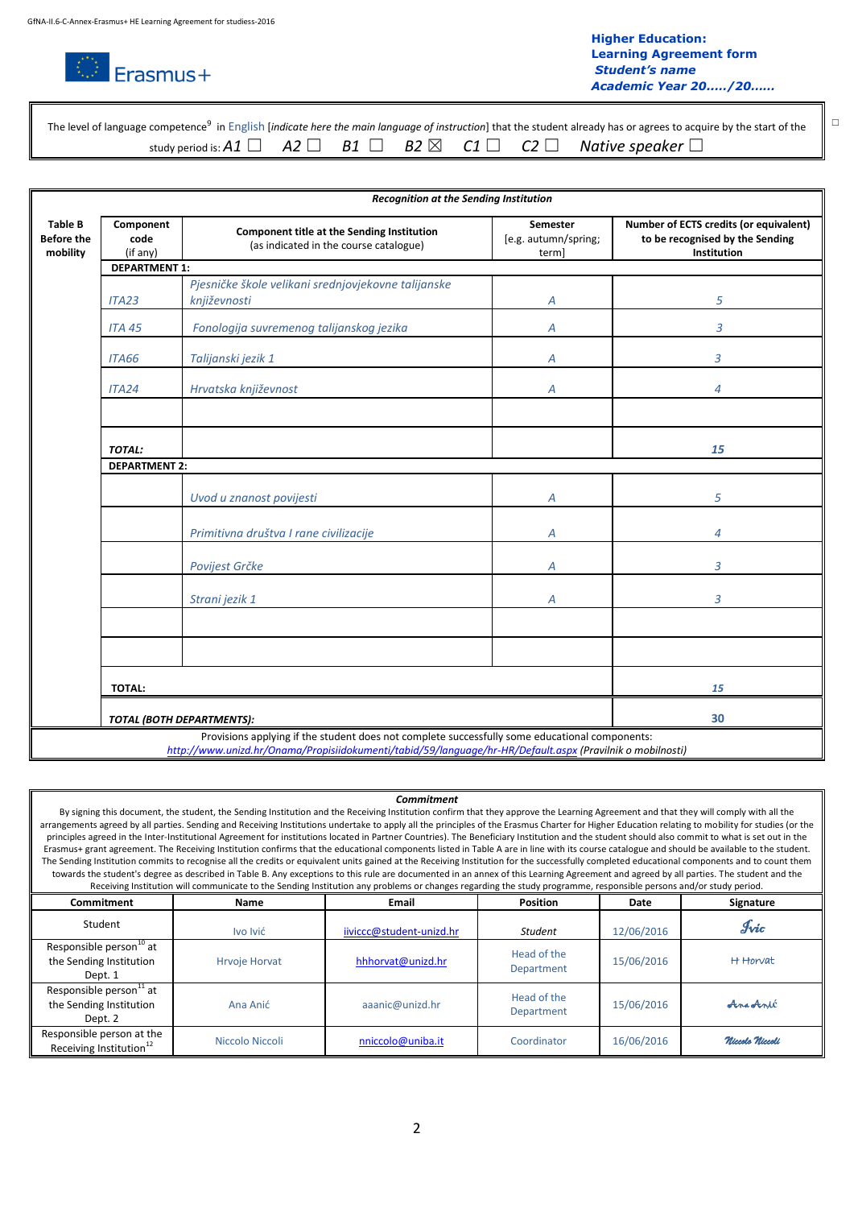

☐ ☐

|  |  |  | The level of language competence <sup>9</sup> in English [ <i>indicate here the main language of instruction</i> ] that the student already has or agrees to acquire by the start of the |
|--|--|--|------------------------------------------------------------------------------------------------------------------------------------------------------------------------------------------|
|  |  |  |                                                                                                                                                                                          |

|                                                 | Recognition at the Sending Institution                                                                                                                                                                      |                                                                                      |                                          |                                                                                          |  |  |  |
|-------------------------------------------------|-------------------------------------------------------------------------------------------------------------------------------------------------------------------------------------------------------------|--------------------------------------------------------------------------------------|------------------------------------------|------------------------------------------------------------------------------------------|--|--|--|
| <b>Table B</b><br><b>Before the</b><br>mobility | Component<br>code<br>(if any)                                                                                                                                                                               | Component title at the Sending Institution<br>(as indicated in the course catalogue) | Semester<br>[e.g. autumn/spring;<br>term | Number of ECTS credits (or equivalent)<br>to be recognised by the Sending<br>Institution |  |  |  |
|                                                 | <b>DEPARTMENT 1:</b>                                                                                                                                                                                        |                                                                                      |                                          |                                                                                          |  |  |  |
|                                                 | ITA23                                                                                                                                                                                                       | Pjesničke škole velikani srednjovjekovne talijanske<br>književnosti                  | А                                        | 5                                                                                        |  |  |  |
|                                                 | <b>ITA 45</b>                                                                                                                                                                                               | Fonologija suvremenog talijanskog jezika                                             | Α                                        | 3                                                                                        |  |  |  |
|                                                 | ITA66                                                                                                                                                                                                       | Talijanski jezik 1                                                                   | Α                                        | 3                                                                                        |  |  |  |
|                                                 | ITA24                                                                                                                                                                                                       | Hrvatska književnost                                                                 | А                                        | 4                                                                                        |  |  |  |
|                                                 |                                                                                                                                                                                                             |                                                                                      |                                          |                                                                                          |  |  |  |
|                                                 | <b>TOTAL:</b>                                                                                                                                                                                               |                                                                                      |                                          | 15                                                                                       |  |  |  |
|                                                 | <b>DEPARTMENT 2:</b>                                                                                                                                                                                        |                                                                                      |                                          |                                                                                          |  |  |  |
|                                                 |                                                                                                                                                                                                             | Uvod u znanost povijesti                                                             | Α                                        | 5                                                                                        |  |  |  |
|                                                 |                                                                                                                                                                                                             | Primitivna društva I rane civilizacije                                               | А                                        | 4                                                                                        |  |  |  |
|                                                 |                                                                                                                                                                                                             | Povijest Grčke                                                                       | А                                        | 3                                                                                        |  |  |  |
|                                                 |                                                                                                                                                                                                             | Strani jezik 1                                                                       | Α                                        | 3                                                                                        |  |  |  |
|                                                 |                                                                                                                                                                                                             |                                                                                      |                                          |                                                                                          |  |  |  |
|                                                 |                                                                                                                                                                                                             |                                                                                      |                                          |                                                                                          |  |  |  |
|                                                 | <b>TOTAL:</b>                                                                                                                                                                                               |                                                                                      |                                          | 15                                                                                       |  |  |  |
|                                                 | 30<br>TOTAL (BOTH DEPARTMENTS):                                                                                                                                                                             |                                                                                      |                                          |                                                                                          |  |  |  |
|                                                 | Provisions applying if the student does not complete successfully some educational components:<br>http://www.unizd.hr/Onama/Propisiidokumenti/tabid/59/language/hr-HR/Default.aspx (Pravilnik o mobilnosti) |                                                                                      |                                          |                                                                                          |  |  |  |

#### *Commitment*

By signing this document, the student, the Sending Institution and the Receiving Institution confirm that they approve the Learning Agreement and that they will comply with all the arrangements agreed by all parties. Sending and Receiving Institutions undertake to apply all the principles of the Erasmus Charter for Higher Education relating to mobility for studies (or the principles agreed in the Inter-Institutional Agreement for institutions located in Partner Countries). The Beneficiary Institution and the student should also commit to what is set out in the Erasmus+ grant agreement. The Receiving Institution confirms that the educational components listed in Table A are in line with its course catalogue and should be available to the student. The Sending Institution commits to recognise all the credits or equivalent units gained at the Receiving Institution for the successfully completed educational components and to count them towards the student's degree as described in Table B. Any exceptions to this rule are documented in an annex of this Learning Agreement and agreed by all parties. The student and the Receiving Institution will communicate to the Sending Institution any problems or changes regarding the study programme, responsible persons and/or study period.

| Commitment                                                                | Name                 | <b>Email</b>             | <b>Position</b>           | Date       | Signature       |
|---------------------------------------------------------------------------|----------------------|--------------------------|---------------------------|------------|-----------------|
| Student                                                                   | Ivo Ivić             | iiviccc@student-unizd.hr | <b>Student</b>            | 12/06/2016 | Ivic            |
| Responsible person <sup>10</sup> at<br>the Sending Institution<br>Dept. 1 | <b>Hrvoje Horvat</b> | hhhorvat@unizd.hr        | Head of the<br>Department | 15/06/2016 | H Horvat        |
| Responsible person <sup>11</sup> at<br>the Sending Institution<br>Dept. 2 | Ana Anić             | aaanic@unizd.hr          | Head of the<br>Department | 15/06/2016 | Aragenic        |
| Responsible person at the<br>Receiving Institution <sup>12</sup>          | Niccolo Niccoli      | nniccolo@uniba.it        | Coordinator               | 16/06/2016 | Niccolo Niccoli |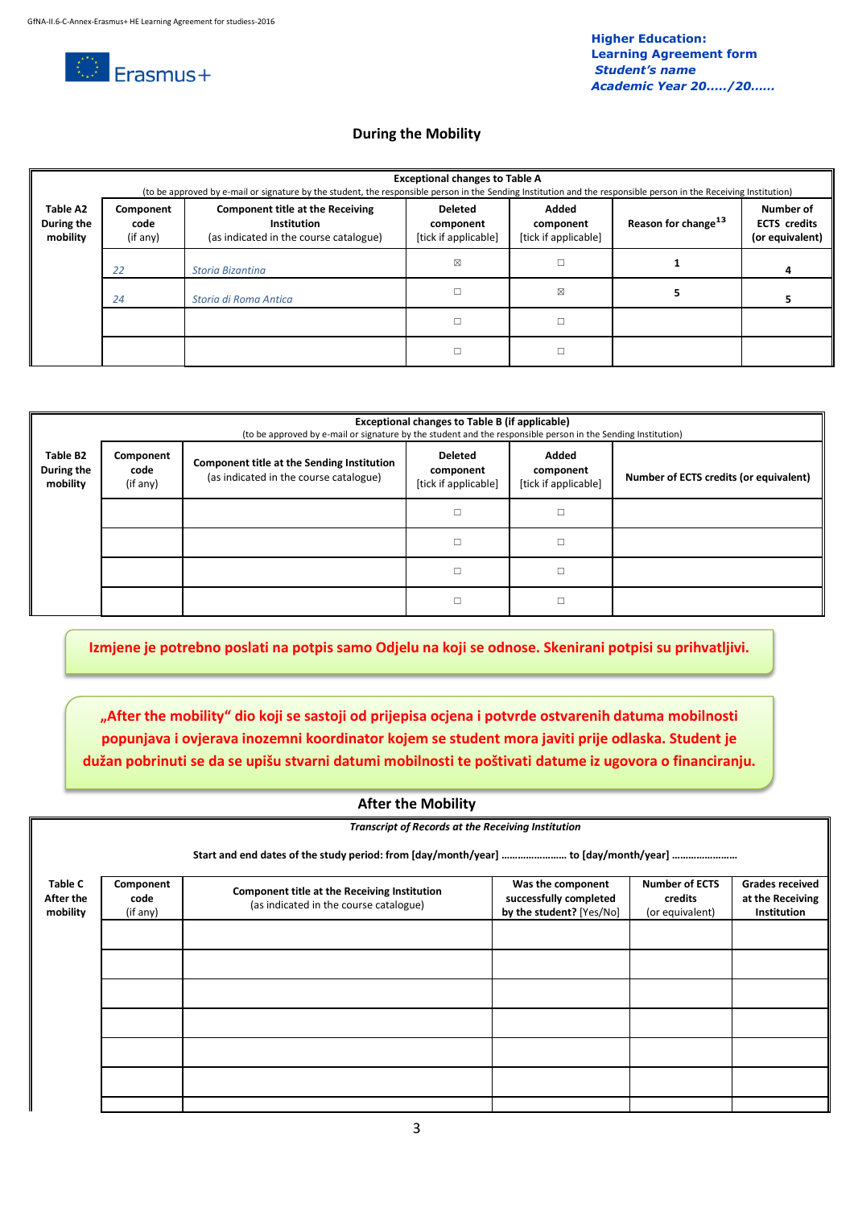

# **During the Mobility**

|                                    | <b>Exceptional changes to Table A</b><br>(to be approved by e-mail or signature by the student, the responsible person in the Sending Institution and the responsible person in the Receiving Institution) |                                                                                                  |                                              |                                            |                                 |                                                     |
|------------------------------------|------------------------------------------------------------------------------------------------------------------------------------------------------------------------------------------------------------|--------------------------------------------------------------------------------------------------|----------------------------------------------|--------------------------------------------|---------------------------------|-----------------------------------------------------|
| Table A2<br>During the<br>mobility | Component<br>code<br>(if any)                                                                                                                                                                              | <b>Component title at the Receiving</b><br>Institution<br>(as indicated in the course catalogue) | Deleted<br>component<br>[tick if applicable] | Added<br>component<br>[tick if applicable] | Reason for change <sup>13</sup> | Number of<br><b>ECTS</b> credits<br>(or equivalent) |
|                                    | 22                                                                                                                                                                                                         | Storia Bizantina                                                                                 | ⊠                                            |                                            |                                 |                                                     |
|                                    | 24                                                                                                                                                                                                         | Storia di Roma Antica                                                                            |                                              | ⊠                                          |                                 |                                                     |
|                                    |                                                                                                                                                                                                            |                                                                                                  |                                              |                                            |                                 |                                                     |
|                                    |                                                                                                                                                                                                            |                                                                                                  |                                              |                                            |                                 |                                                     |

|                                    | Exceptional changes to Table B (if applicable)<br>(to be approved by e-mail or signature by the student and the responsible person in the Sending Institution) |                                                                                      |                                                     |                                            |                                        |  |  |
|------------------------------------|----------------------------------------------------------------------------------------------------------------------------------------------------------------|--------------------------------------------------------------------------------------|-----------------------------------------------------|--------------------------------------------|----------------------------------------|--|--|
| Table B2<br>During the<br>mobility | Component<br>code<br>(if any)                                                                                                                                  | Component title at the Sending Institution<br>(as indicated in the course catalogue) | <b>Deleted</b><br>component<br>[tick if applicable] | Added<br>component<br>[tick if applicable] | Number of ECTS credits (or equivalent) |  |  |
|                                    |                                                                                                                                                                |                                                                                      | □                                                   | п                                          |                                        |  |  |
|                                    |                                                                                                                                                                |                                                                                      | □                                                   |                                            |                                        |  |  |
|                                    |                                                                                                                                                                |                                                                                      | П                                                   |                                            |                                        |  |  |
|                                    |                                                                                                                                                                |                                                                                      | П                                                   |                                            |                                        |  |  |

**Izmjene je potrebno poslati na potpis samo Odjelu na koji se odnose. Skenirani potpisi su prihvatljivi.**

**"After the mobility" dio koji se sastoji od prijepisa ocjena i potvrde ostvarenih datuma mobilnosti popunjava i ovjerava inozemni koordinator kojem se student mora javiti prije odlaska. Student je dužan pobrinuti se da se upišu stvarni datumi mobilnosti te poštivati datume iz ugovora o financiranju.** 

| <b>After the Mobility</b>               |                                                                                     |                                                                                        |                                                                         |                                                     |                                                                  |  |  |
|-----------------------------------------|-------------------------------------------------------------------------------------|----------------------------------------------------------------------------------------|-------------------------------------------------------------------------|-----------------------------------------------------|------------------------------------------------------------------|--|--|
|                                         |                                                                                     | <b>Transcript of Records at the Receiving Institution</b>                              |                                                                         |                                                     |                                                                  |  |  |
|                                         | Start and end dates of the study period: from [day/month/year]  to [day/month/year] |                                                                                        |                                                                         |                                                     |                                                                  |  |  |
| <b>Table C</b><br>After the<br>mobility | Component<br>code<br>(if any)                                                       | Component title at the Receiving Institution<br>(as indicated in the course catalogue) | Was the component<br>successfully completed<br>by the student? [Yes/No] | <b>Number of ECTS</b><br>credits<br>(or equivalent) | <b>Grades received</b><br>at the Receiving<br><b>Institution</b> |  |  |
|                                         |                                                                                     |                                                                                        |                                                                         |                                                     |                                                                  |  |  |
|                                         |                                                                                     |                                                                                        |                                                                         |                                                     |                                                                  |  |  |
|                                         |                                                                                     |                                                                                        |                                                                         |                                                     |                                                                  |  |  |
|                                         |                                                                                     |                                                                                        |                                                                         |                                                     |                                                                  |  |  |
|                                         |                                                                                     |                                                                                        |                                                                         |                                                     |                                                                  |  |  |
|                                         |                                                                                     |                                                                                        |                                                                         |                                                     |                                                                  |  |  |
|                                         |                                                                                     |                                                                                        |                                                                         |                                                     |                                                                  |  |  |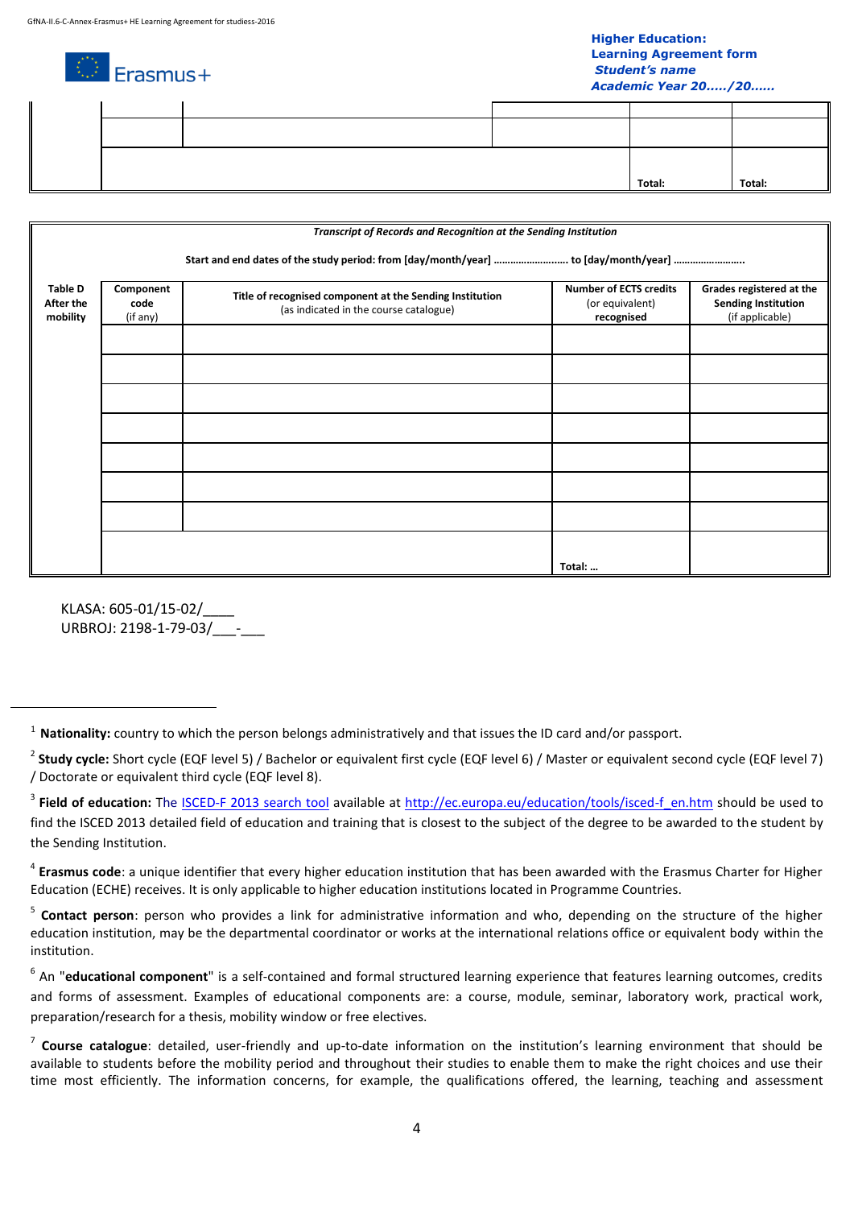# **Higher Education: Learning Agreement form** *Student's name*

 $\mathbb{D}$  Erasmus+ *Academic Year 20..…/20……* **Total: Total:**

|                                         | Transcript of Records and Recognition at the Sending Institution |                                                                                                    |                                                                |                                                                           |  |  |  |
|-----------------------------------------|------------------------------------------------------------------|----------------------------------------------------------------------------------------------------|----------------------------------------------------------------|---------------------------------------------------------------------------|--|--|--|
|                                         |                                                                  |                                                                                                    |                                                                |                                                                           |  |  |  |
| <b>Table D</b><br>After the<br>mobility | Component<br>code<br>(if any)                                    | Title of recognised component at the Sending Institution<br>(as indicated in the course catalogue) | <b>Number of ECTS credits</b><br>(or equivalent)<br>recognised | Grades registered at the<br><b>Sending Institution</b><br>(if applicable) |  |  |  |
|                                         |                                                                  |                                                                                                    |                                                                |                                                                           |  |  |  |
|                                         |                                                                  |                                                                                                    |                                                                |                                                                           |  |  |  |
|                                         |                                                                  |                                                                                                    |                                                                |                                                                           |  |  |  |
|                                         |                                                                  |                                                                                                    |                                                                |                                                                           |  |  |  |
|                                         |                                                                  |                                                                                                    |                                                                |                                                                           |  |  |  |
|                                         |                                                                  |                                                                                                    |                                                                |                                                                           |  |  |  |
|                                         |                                                                  |                                                                                                    |                                                                |                                                                           |  |  |  |
|                                         |                                                                  |                                                                                                    | Total:                                                         |                                                                           |  |  |  |

KLASA: 605-01/15-02/\_\_\_\_ URBROJ: 2198-1-79-03/\_\_\_-\_\_\_

 $\overline{a}$ 

4 **Erasmus code**: a unique identifier that every higher education institution that has been awarded with the Erasmus Charter for Higher Education (ECHE) receives. It is only applicable to higher education institutions located in Programme Countries.

<sup>5</sup> Contact person: person who provides a link for administrative information and who, depending on the structure of the higher education institution, may be the departmental coordinator or works at the international relations office or equivalent body within the institution.

<sup>6</sup> An "educational component" is a self-contained and formal structured learning experience that features learning outcomes, credits and forms of assessment. Examples of educational components are: a course, module, seminar, laboratory work, practical work, preparation/research for a thesis, mobility window or free electives.

<sup>1</sup> **Nationality:** country to which the person belongs administratively and that issues the ID card and/or passport.

<sup>2</sup> **Study cycle:** Short cycle (EQF level 5) / Bachelor or equivalent first cycle (EQF level 6) / Master or equivalent second cycle (EQF level 7) / Doctorate or equivalent third cycle (EQF level 8).

<sup>&</sup>lt;sup>3</sup> Field of education: The <u>[ISCED-F 2013 search tool](http://ec.europa.eu/education/tools/isced-f_en.htm)</u> available at [http://ec.europa.eu/education/tools/isced-f\\_en.htm](http://ec.europa.eu/education/tools/isced-f_en.htm) should be used to find the ISCED 2013 detailed field of education and training that is closest to the subject of the degree to be awarded to the student by the Sending Institution.

<sup>7</sup> **Course catalogue**: detailed, user-friendly and up-to-date information on the institution's learning environment that should be available to students before the mobility period and throughout their studies to enable them to make the right choices and use their time most efficiently. The information concerns, for example, the qualifications offered, the learning, teaching and assessment